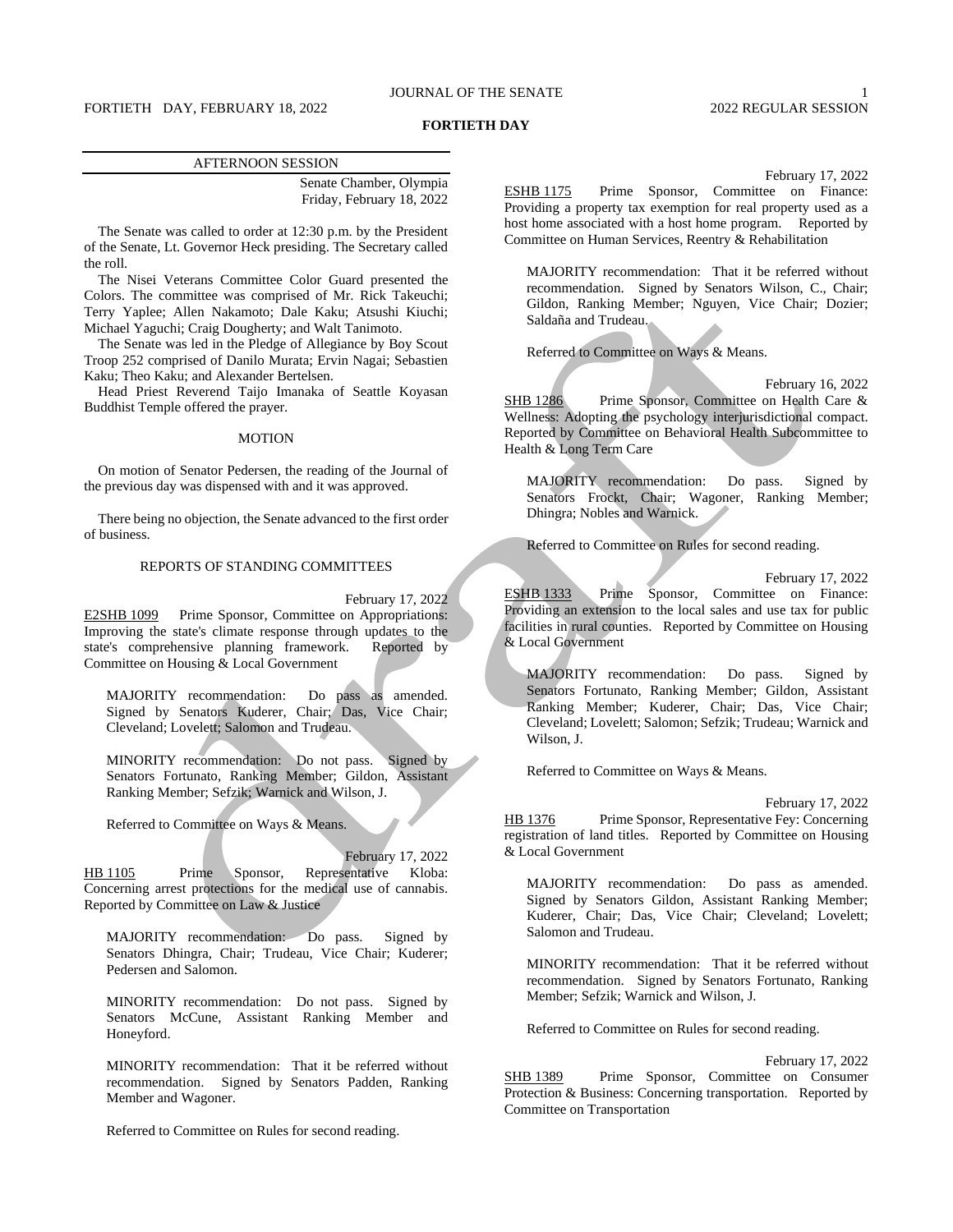## JOURNAL OF THE SENATE 1

## FORTIETH DAY, FEBRUARY 18, 2022 2022 2022 2022 REGULAR SESSION

#### **FORTIETH DAY**

#### AFTERNOON SESSION

Senate Chamber, Olympia Friday, February 18, 2022

The Senate was called to order at 12:30 p.m. by the President of the Senate, Lt. Governor Heck presiding. The Secretary called the roll.

The Nisei Veterans Committee Color Guard presented the Colors. The committee was comprised of Mr. Rick Takeuchi; Terry Yaplee; Allen Nakamoto; Dale Kaku; Atsushi Kiuchi; Michael Yaguchi; Craig Dougherty; and Walt Tanimoto.

The Senate was led in the Pledge of Allegiance by Boy Scout Troop 252 comprised of Danilo Murata; Ervin Nagai; Sebastien Kaku; Theo Kaku; and Alexander Bertelsen.

Head Priest Reverend Taijo Imanaka of Seattle Koyasan Buddhist Temple offered the prayer.

#### MOTION

On motion of Senator Pedersen, the reading of the Journal of the previous day was dispensed with and it was approved.

There being no objection, the Senate advanced to the first order of business.

### REPORTS OF STANDING COMMITTEES

February 17, 2022 E2SHB 1099 Prime Sponsor, Committee on Appropriations: Improving the state's climate response through updates to the state's comprehensive planning framework. Reported by Committee on Housing & Local Government

MAJORITY recommendation: Do pass as amended. Signed by Senators Kuderer, Chair; Das, Vice Chair; Cleveland; Lovelett; Salomon and Trudeau.

MINORITY recommendation: Do not pass. Signed by Senators Fortunato, Ranking Member; Gildon, Assistant Ranking Member; Sefzik; Warnick and Wilson, J.

Referred to Committee on Ways & Means.

February 17, 2022 HB 1105 Prime Sponsor, Representative Kloba: Concerning arrest protections for the medical use of cannabis. Reported by Committee on Law & Justice

MAJORITY recommendation: Do pass. Signed by Senators Dhingra, Chair; Trudeau, Vice Chair; Kuderer; Pedersen and Salomon.

MINORITY recommendation: Do not pass. Signed by Senators McCune, Assistant Ranking Member and Honeyford.

MINORITY recommendation: That it be referred without recommendation. Signed by Senators Padden, Ranking Member and Wagoner.

Referred to Committee on Rules for second reading.

February 17, 2022

ESHB 1175 Prime Sponsor, Committee on Finance: Providing a property tax exemption for real property used as a host home associated with a host home program. Reported by Committee on Human Services, Reentry & Rehabilitation

MAJORITY recommendation: That it be referred without recommendation. Signed by Senators Wilson, C., Chair; Gildon, Ranking Member; Nguyen, Vice Chair; Dozier; Saldaña and Trudeau.

Referred to Committee on Ways & Means.

February 16, 2022 SHB 1286 Prime Sponsor, Committee on Health Care & Wellness: Adopting the psychology interjurisdictional compact. Reported by Committee on Behavioral Health Subcommittee to Health & Long Term Care

MAJORITY recommendation: Do pass. Signed by Senators Frockt, Chair; Wagoner, Ranking Member; Dhingra; Nobles and Warnick.

Referred to Committee on Rules for second reading.

February 17, 2022

ESHB 1333 Prime Sponsor, Committee on Finance: Providing an extension to the local sales and use tax for public facilities in rural counties. Reported by Committee on Housing & Local Government

MAJORITY recommendation: Do pass. Signed by Senators Fortunato, Ranking Member; Gildon, Assistant Ranking Member; Kuderer, Chair; Das, Vice Chair; Cleveland; Lovelett; Salomon; Sefzik; Trudeau; Warnick and Wilson, J.

Referred to Committee on Ways & Means.

February 17, 2022 HB 1376 Prime Sponsor, Representative Fey: Concerning registration of land titles. Reported by Committee on Housing & Local Government

MAJORITY recommendation: Do pass as amended. Signed by Senators Gildon, Assistant Ranking Member; Kuderer, Chair; Das, Vice Chair; Cleveland; Lovelett; Salomon and Trudeau.

MINORITY recommendation: That it be referred without recommendation. Signed by Senators Fortunato, Ranking Member; Sefzik; Warnick and Wilson, J.

Referred to Committee on Rules for second reading.

February 17, 2022 SHB 1389 Prime Sponsor, Committee on Consumer Protection & Business: Concerning transportation. Reported by Committee on Transportation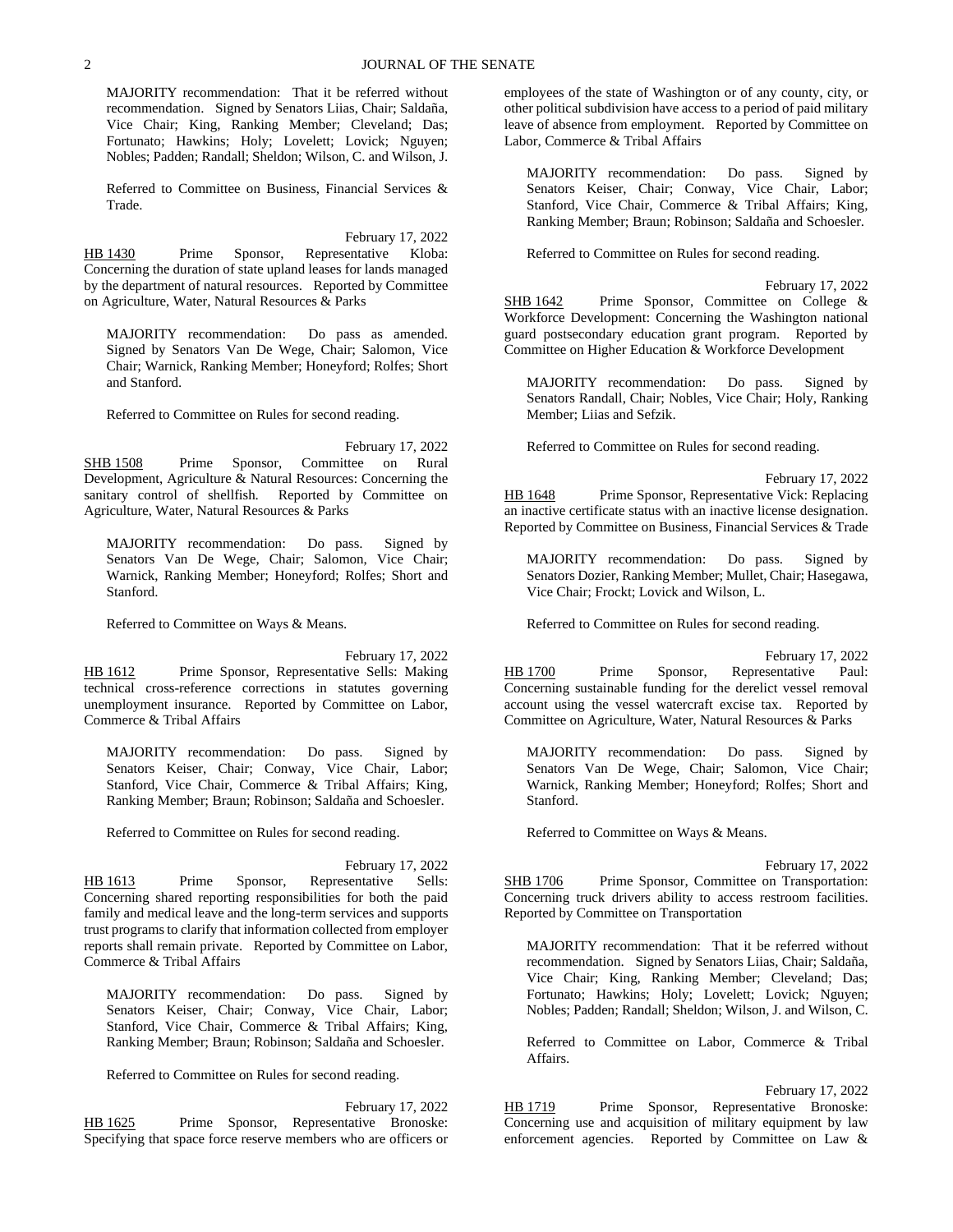MAJORITY recommendation: That it be referred without recommendation. Signed by Senators Liias, Chair; Saldaña, Vice Chair; King, Ranking Member; Cleveland; Das; Fortunato; Hawkins; Holy; Lovelett; Lovick; Nguyen; Nobles; Padden; Randall; Sheldon; Wilson, C. and Wilson, J.

Referred to Committee on Business, Financial Services & Trade.

February 17, 2022 HB 1430 Prime Sponsor, Representative Kloba: Concerning the duration of state upland leases for lands managed by the department of natural resources. Reported by Committee on Agriculture, Water, Natural Resources & Parks

MAJORITY recommendation: Do pass as amended. Signed by Senators Van De Wege, Chair; Salomon, Vice Chair; Warnick, Ranking Member; Honeyford; Rolfes; Short and Stanford.

Referred to Committee on Rules for second reading.

February 17, 2022 SHB 1508 Prime Sponsor, Committee on Rural Development, Agriculture & Natural Resources: Concerning the sanitary control of shellfish. Reported by Committee on Agriculture, Water, Natural Resources & Parks

MAJORITY recommendation: Do pass. Signed by Senators Van De Wege, Chair; Salomon, Vice Chair; Warnick, Ranking Member; Honeyford; Rolfes; Short and Stanford.

Referred to Committee on Ways & Means.

February 17, 2022

HB 1612 Prime Sponsor, Representative Sells: Making technical cross-reference corrections in statutes governing unemployment insurance. Reported by Committee on Labor, Commerce & Tribal Affairs

MAJORITY recommendation: Do pass. Signed by Senators Keiser, Chair; Conway, Vice Chair, Labor; Stanford, Vice Chair, Commerce & Tribal Affairs; King, Ranking Member; Braun; Robinson; Saldaña and Schoesler.

Referred to Committee on Rules for second reading.

February 17, 2022 HB 1613 Prime Sponsor, Representative Sells: Concerning shared reporting responsibilities for both the paid family and medical leave and the long-term services and supports trust programs to clarify that information collected from employer reports shall remain private. Reported by Committee on Labor, Commerce & Tribal Affairs

MAJORITY recommendation: Do pass. Signed by Senators Keiser, Chair; Conway, Vice Chair, Labor; Stanford, Vice Chair, Commerce & Tribal Affairs; King, Ranking Member; Braun; Robinson; Saldaña and Schoesler.

Referred to Committee on Rules for second reading.

February 17, 2022 HB 1625 Prime Sponsor, Representative Bronoske: Specifying that space force reserve members who are officers or employees of the state of Washington or of any county, city, or other political subdivision have access to a period of paid military leave of absence from employment. Reported by Committee on Labor, Commerce & Tribal Affairs

MAJORITY recommendation: Do pass. Signed by Senators Keiser, Chair; Conway, Vice Chair, Labor; Stanford, Vice Chair, Commerce & Tribal Affairs; King, Ranking Member; Braun; Robinson; Saldaña and Schoesler.

Referred to Committee on Rules for second reading.

February 17, 2022

SHB 1642 Prime Sponsor, Committee on College & Workforce Development: Concerning the Washington national guard postsecondary education grant program. Reported by Committee on Higher Education & Workforce Development

MAJORITY recommendation: Do pass. Signed by Senators Randall, Chair; Nobles, Vice Chair; Holy, Ranking Member; Liias and Sefzik.

Referred to Committee on Rules for second reading.

February 17, 2022 HB 1648 Prime Sponsor, Representative Vick: Replacing an inactive certificate status with an inactive license designation. Reported by Committee on Business, Financial Services & Trade

MAJORITY recommendation: Do pass. Signed by Senators Dozier, Ranking Member; Mullet, Chair; Hasegawa, Vice Chair; Frockt; Lovick and Wilson, L.

Referred to Committee on Rules for second reading.

February 17, 2022

HB 1700 Prime Sponsor, Representative Paul: Concerning sustainable funding for the derelict vessel removal account using the vessel watercraft excise tax. Reported by Committee on Agriculture, Water, Natural Resources & Parks

MAJORITY recommendation: Do pass. Signed by Senators Van De Wege, Chair; Salomon, Vice Chair; Warnick, Ranking Member; Honeyford; Rolfes; Short and Stanford.

Referred to Committee on Ways & Means.

February 17, 2022 SHB 1706 Prime Sponsor, Committee on Transportation: Concerning truck drivers ability to access restroom facilities. Reported by Committee on Transportation

MAJORITY recommendation: That it be referred without recommendation. Signed by Senators Liias, Chair; Saldaña, Vice Chair; King, Ranking Member; Cleveland; Das; Fortunato; Hawkins; Holy; Lovelett; Lovick; Nguyen; Nobles; Padden; Randall; Sheldon; Wilson, J. and Wilson, C.

Referred to Committee on Labor, Commerce & Tribal Affairs.

February 17, 2022 HB 1719 Prime Sponsor, Representative Bronoske: Concerning use and acquisition of military equipment by law enforcement agencies. Reported by Committee on Law &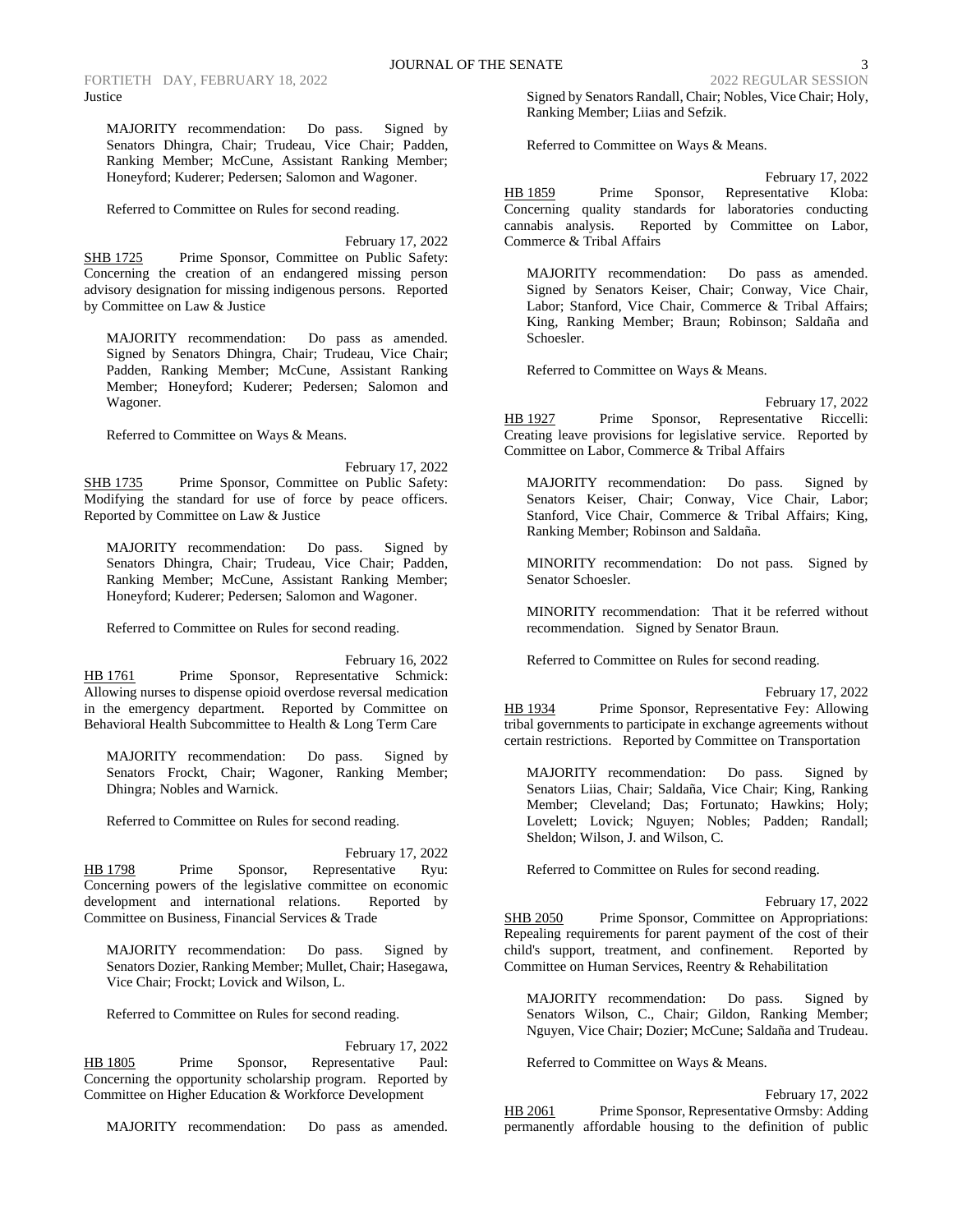MAJORITY recommendation: Do pass. Signed by Senators Dhingra, Chair; Trudeau, Vice Chair; Padden, Ranking Member; McCune, Assistant Ranking Member; Honeyford; Kuderer; Pedersen; Salomon and Wagoner.

Referred to Committee on Rules for second reading.

February 17, 2022 SHB 1725 Prime Sponsor, Committee on Public Safety: Concerning the creation of an endangered missing person advisory designation for missing indigenous persons. Reported by Committee on Law & Justice

MAJORITY recommendation: Do pass as amended. Signed by Senators Dhingra, Chair; Trudeau, Vice Chair; Padden, Ranking Member; McCune, Assistant Ranking Member; Honeyford; Kuderer; Pedersen; Salomon and Wagoner.

Referred to Committee on Ways & Means.

February 17, 2022 SHB 1735 Prime Sponsor, Committee on Public Safety: Modifying the standard for use of force by peace officers. Reported by Committee on Law & Justice

MAJORITY recommendation: Do pass. Signed by Senators Dhingra, Chair; Trudeau, Vice Chair; Padden, Ranking Member; McCune, Assistant Ranking Member; Honeyford; Kuderer; Pedersen; Salomon and Wagoner.

Referred to Committee on Rules for second reading.

February 16, 2022 HB 1761 Prime Sponsor, Representative Schmick: Allowing nurses to dispense opioid overdose reversal medication in the emergency department. Reported by Committee on Behavioral Health Subcommittee to Health & Long Term Care

MAJORITY recommendation: Do pass. Signed by Senators Frockt, Chair; Wagoner, Ranking Member; Dhingra; Nobles and Warnick.

Referred to Committee on Rules for second reading.

February 17, 2022 HB 1798 Prime Sponsor, Representative Ryu: Concerning powers of the legislative committee on economic development and international relations. Reported by Committee on Business, Financial Services & Trade

MAJORITY recommendation: Do pass. Signed by Senators Dozier, Ranking Member; Mullet, Chair; Hasegawa, Vice Chair; Frockt; Lovick and Wilson, L.

Referred to Committee on Rules for second reading.

February 17, 2022 HB 1805 Prime Sponsor, Representative Paul: Concerning the opportunity scholarship program. Reported by Committee on Higher Education & Workforce Development

MAJORITY recommendation: Do pass as amended.

Signed by Senators Randall, Chair; Nobles, Vice Chair; Holy, Ranking Member; Liias and Sefzik.

Referred to Committee on Ways & Means.

February 17, 2022 HB 1859 Prime Sponsor, Representative Kloba: Concerning quality standards for laboratories conducting cannabis analysis. Reported by Committee on Labor, Commerce & Tribal Affairs

MAJORITY recommendation: Do pass as amended. Signed by Senators Keiser, Chair; Conway, Vice Chair, Labor; Stanford, Vice Chair, Commerce & Tribal Affairs; King, Ranking Member; Braun; Robinson; Saldaña and Schoesler.

Referred to Committee on Ways & Means.

February 17, 2022 HB 1927 Prime Sponsor, Representative Riccelli: Creating leave provisions for legislative service. Reported by Committee on Labor, Commerce & Tribal Affairs

MAJORITY recommendation: Do pass. Signed by Senators Keiser, Chair; Conway, Vice Chair, Labor; Stanford, Vice Chair, Commerce & Tribal Affairs; King, Ranking Member; Robinson and Saldaña.

MINORITY recommendation: Do not pass. Signed by Senator Schoesler.

MINORITY recommendation: That it be referred without recommendation. Signed by Senator Braun.

Referred to Committee on Rules for second reading.

February 17, 2022 HB 1934 Prime Sponsor, Representative Fey: Allowing tribal governments to participate in exchange agreements without certain restrictions. Reported by Committee on Transportation

MAJORITY recommendation: Do pass. Signed by Senators Liias, Chair; Saldaña, Vice Chair; King, Ranking Member; Cleveland; Das; Fortunato; Hawkins; Holy; Lovelett; Lovick; Nguyen; Nobles; Padden; Randall; Sheldon; Wilson, J. and Wilson, C.

Referred to Committee on Rules for second reading.

February 17, 2022

SHB 2050 Prime Sponsor, Committee on Appropriations: Repealing requirements for parent payment of the cost of their child's support, treatment, and confinement. Reported by Committee on Human Services, Reentry & Rehabilitation

MAJORITY recommendation: Do pass. Signed by Senators Wilson, C., Chair; Gildon, Ranking Member; Nguyen, Vice Chair; Dozier; McCune; Saldaña and Trudeau.

Referred to Committee on Ways & Means.

February 17, 2022 HB 2061 Prime Sponsor, Representative Ormsby: Adding permanently affordable housing to the definition of public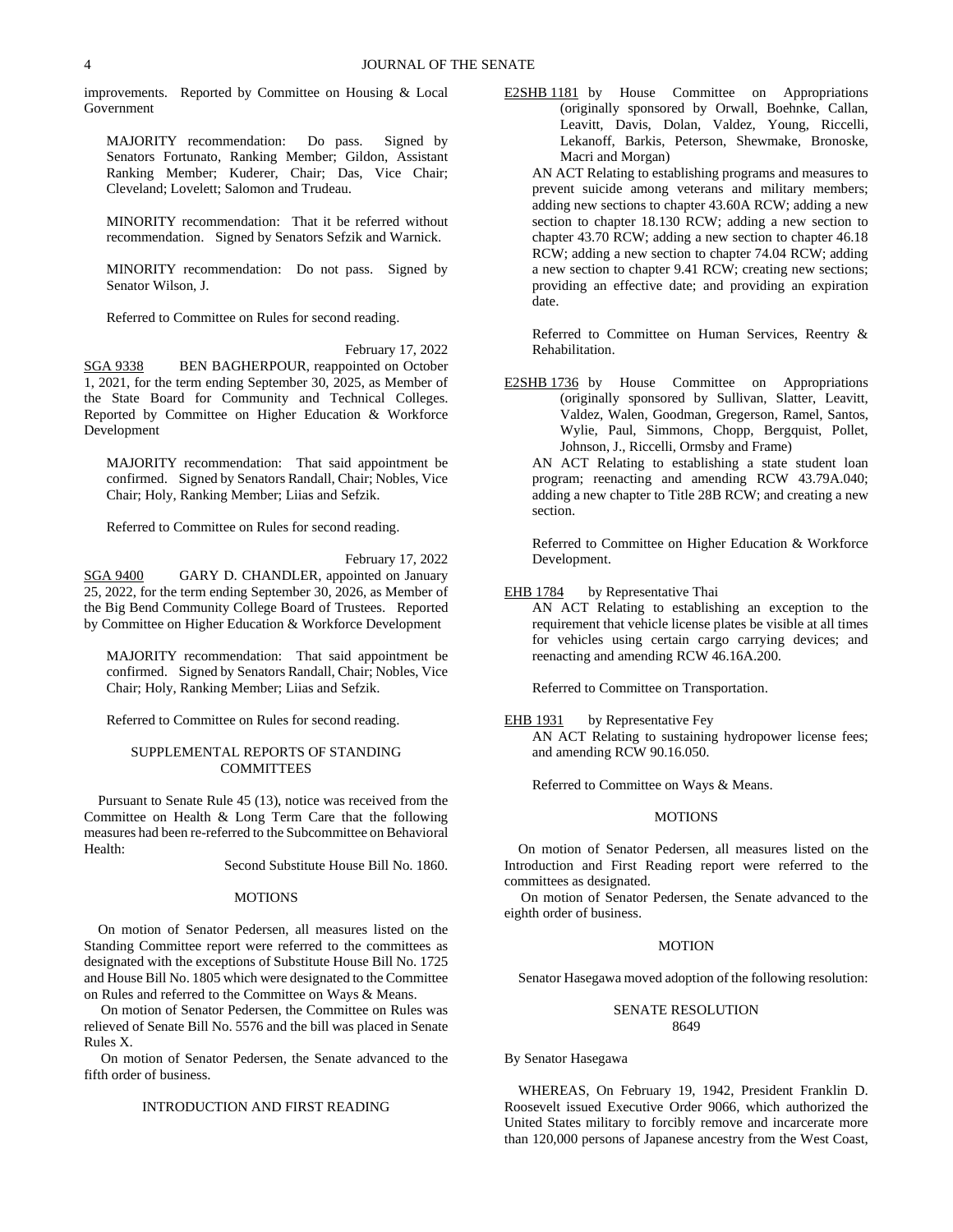improvements. Reported by Committee on Housing & Local Government

MAJORITY recommendation: Do pass. Signed by Senators Fortunato, Ranking Member; Gildon, Assistant Ranking Member; Kuderer, Chair; Das, Vice Chair; Cleveland; Lovelett; Salomon and Trudeau.

MINORITY recommendation: That it be referred without recommendation. Signed by Senators Sefzik and Warnick.

MINORITY recommendation: Do not pass. Signed by Senator Wilson, J.

Referred to Committee on Rules for second reading.

February 17, 2022 SGA 9338 BEN BAGHERPOUR, reappointed on October 1, 2021, for the term ending September 30, 2025, as Member of the State Board for Community and Technical Colleges. Reported by Committee on Higher Education & Workforce Development

MAJORITY recommendation: That said appointment be confirmed. Signed by Senators Randall, Chair; Nobles, Vice Chair; Holy, Ranking Member; Liias and Sefzik.

Referred to Committee on Rules for second reading.

February 17, 2022

SGA 9400 GARY D. CHANDLER, appointed on January 25, 2022, for the term ending September 30, 2026, as Member of the Big Bend Community College Board of Trustees. Reported by Committee on Higher Education & Workforce Development

MAJORITY recommendation: That said appointment be confirmed. Signed by Senators Randall, Chair; Nobles, Vice Chair; Holy, Ranking Member; Liias and Sefzik.

Referred to Committee on Rules for second reading.

## SUPPLEMENTAL REPORTS OF STANDING **COMMITTEES**

Pursuant to Senate Rule 45 (13), notice was received from the Committee on Health & Long Term Care that the following measures had been re-referred to the Subcommittee on Behavioral Health:

Second Substitute House Bill No. 1860.

#### **MOTIONS**

On motion of Senator Pedersen, all measures listed on the Standing Committee report were referred to the committees as designated with the exceptions of Substitute House Bill No. 1725 and House Bill No. 1805 which were designated to the Committee on Rules and referred to the Committee on Ways & Means.

On motion of Senator Pedersen, the Committee on Rules was relieved of Senate Bill No. 5576 and the bill was placed in Senate Rules X.

On motion of Senator Pedersen, the Senate advanced to the fifth order of business.

## INTRODUCTION AND FIRST READING

E2SHB 1181 by House Committee on Appropriations (originally sponsored by Orwall, Boehnke, Callan, Leavitt, Davis, Dolan, Valdez, Young, Riccelli, Lekanoff, Barkis, Peterson, Shewmake, Bronoske, Macri and Morgan)

AN ACT Relating to establishing programs and measures to prevent suicide among veterans and military members; adding new sections to chapter 43.60A RCW; adding a new section to chapter 18.130 RCW; adding a new section to chapter 43.70 RCW; adding a new section to chapter 46.18 RCW; adding a new section to chapter 74.04 RCW; adding a new section to chapter 9.41 RCW; creating new sections; providing an effective date; and providing an expiration date.

Referred to Committee on Human Services, Reentry & Rehabilitation.

E2SHB 1736 by House Committee on Appropriations (originally sponsored by Sullivan, Slatter, Leavitt, Valdez, Walen, Goodman, Gregerson, Ramel, Santos, Wylie, Paul, Simmons, Chopp, Bergquist, Pollet, Johnson, J., Riccelli, Ormsby and Frame)

AN ACT Relating to establishing a state student loan program; reenacting and amending RCW 43.79A.040; adding a new chapter to Title 28B RCW; and creating a new section.

Referred to Committee on Higher Education & Workforce Development.

## EHB 1784 by Representative Thai

AN ACT Relating to establishing an exception to the requirement that vehicle license plates be visible at all times for vehicles using certain cargo carrying devices; and reenacting and amending RCW 46.16A.200.

Referred to Committee on Transportation.

EHB 1931 by Representative Fey

AN ACT Relating to sustaining hydropower license fees; and amending RCW 90.16.050.

Referred to Committee on Ways & Means.

#### MOTIONS

On motion of Senator Pedersen, all measures listed on the Introduction and First Reading report were referred to the committees as designated.

On motion of Senator Pedersen, the Senate advanced to the eighth order of business.

#### MOTION

Senator Hasegawa moved adoption of the following resolution:

#### SENATE RESOLUTION 8649

By Senator Hasegawa

WHEREAS, On February 19, 1942, President Franklin D. Roosevelt issued Executive Order 9066, which authorized the United States military to forcibly remove and incarcerate more than 120,000 persons of Japanese ancestry from the West Coast,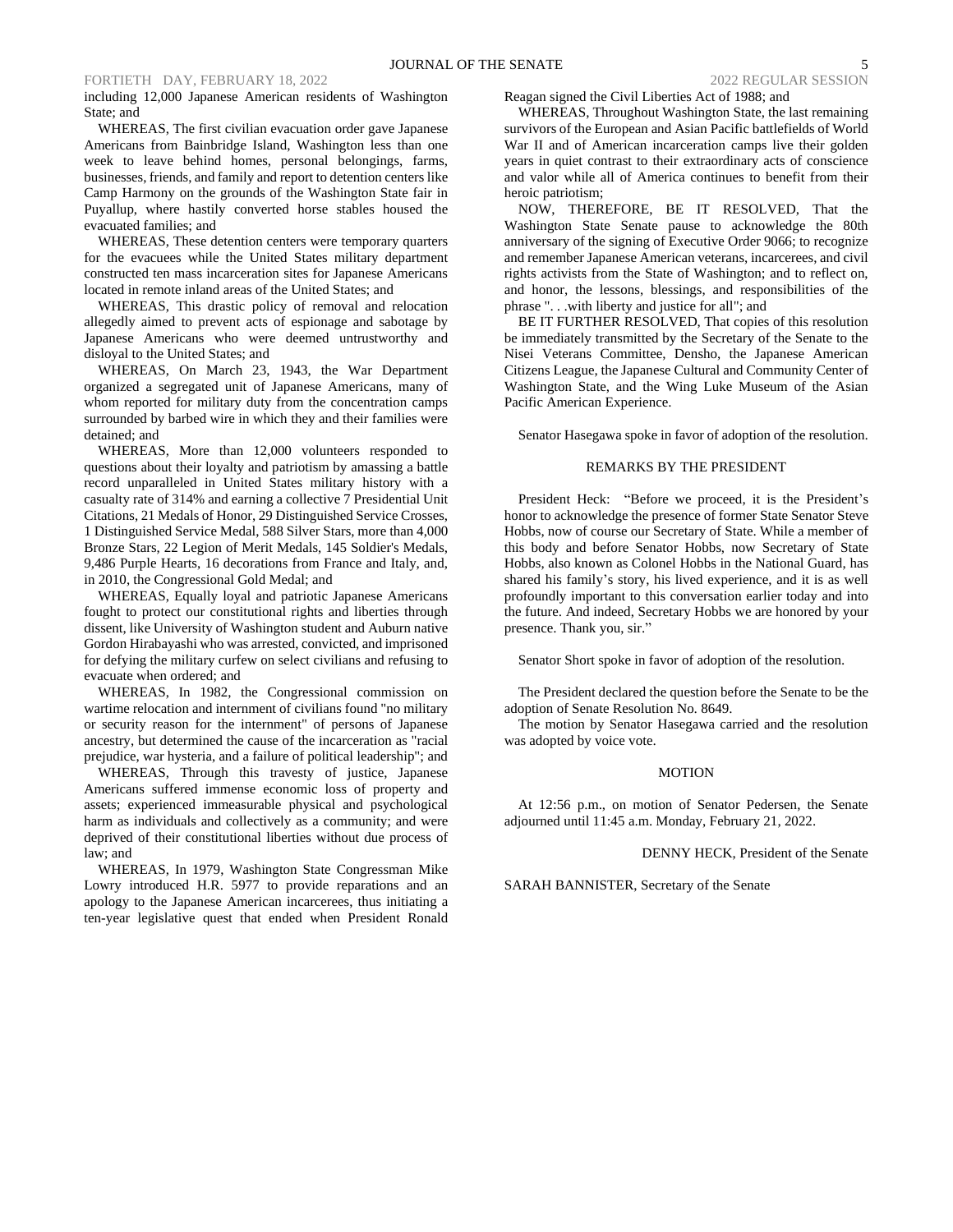## FORTIETH DAY, FEBRUARY 18, 2022 2022 2022 2022 REGULAR SESSION

including 12,000 Japanese American residents of Washington State; and

WHEREAS, The first civilian evacuation order gave Japanese Americans from Bainbridge Island, Washington less than one week to leave behind homes, personal belongings, farms, businesses, friends, and family and report to detention centers like Camp Harmony on the grounds of the Washington State fair in Puyallup, where hastily converted horse stables housed the evacuated families; and

WHEREAS, These detention centers were temporary quarters for the evacuees while the United States military department constructed ten mass incarceration sites for Japanese Americans located in remote inland areas of the United States; and

WHEREAS, This drastic policy of removal and relocation allegedly aimed to prevent acts of espionage and sabotage by Japanese Americans who were deemed untrustworthy and disloyal to the United States; and

WHEREAS, On March 23, 1943, the War Department organized a segregated unit of Japanese Americans, many of whom reported for military duty from the concentration camps surrounded by barbed wire in which they and their families were detained; and

WHEREAS, More than 12,000 volunteers responded to questions about their loyalty and patriotism by amassing a battle record unparalleled in United States military history with a casualty rate of 314% and earning a collective 7 Presidential Unit Citations, 21 Medals of Honor, 29 Distinguished Service Crosses, 1 Distinguished Service Medal, 588 Silver Stars, more than 4,000 Bronze Stars, 22 Legion of Merit Medals, 145 Soldier's Medals, 9,486 Purple Hearts, 16 decorations from France and Italy, and, in 2010, the Congressional Gold Medal; and

WHEREAS, Equally loyal and patriotic Japanese Americans fought to protect our constitutional rights and liberties through dissent, like University of Washington student and Auburn native Gordon Hirabayashi who was arrested, convicted, and imprisoned for defying the military curfew on select civilians and refusing to evacuate when ordered; and

WHEREAS, In 1982, the Congressional commission on wartime relocation and internment of civilians found "no military or security reason for the internment" of persons of Japanese ancestry, but determined the cause of the incarceration as "racial prejudice, war hysteria, and a failure of political leadership"; and

WHEREAS, Through this travesty of justice, Japanese Americans suffered immense economic loss of property and assets; experienced immeasurable physical and psychological harm as individuals and collectively as a community; and were deprived of their constitutional liberties without due process of law; and

WHEREAS, In 1979, Washington State Congressman Mike Lowry introduced H.R. 5977 to provide reparations and an apology to the Japanese American incarcerees, thus initiating a ten-year legislative quest that ended when President Ronald

#### Reagan signed the Civil Liberties Act of 1988; and

WHEREAS, Throughout Washington State, the last remaining survivors of the European and Asian Pacific battlefields of World War II and of American incarceration camps live their golden years in quiet contrast to their extraordinary acts of conscience and valor while all of America continues to benefit from their heroic patriotism;

NOW, THEREFORE, BE IT RESOLVED, That the Washington State Senate pause to acknowledge the 80th anniversary of the signing of Executive Order 9066; to recognize and remember Japanese American veterans, incarcerees, and civil rights activists from the State of Washington; and to reflect on, and honor, the lessons, blessings, and responsibilities of the phrase ". . .with liberty and justice for all"; and

BE IT FURTHER RESOLVED, That copies of this resolution be immediately transmitted by the Secretary of the Senate to the Nisei Veterans Committee, Densho, the Japanese American Citizens League, the Japanese Cultural and Community Center of Washington State, and the Wing Luke Museum of the Asian Pacific American Experience.

Senator Hasegawa spoke in favor of adoption of the resolution.

#### REMARKS BY THE PRESIDENT

President Heck: "Before we proceed, it is the President's honor to acknowledge the presence of former State Senator Steve Hobbs, now of course our Secretary of State. While a member of this body and before Senator Hobbs, now Secretary of State Hobbs, also known as Colonel Hobbs in the National Guard, has shared his family's story, his lived experience, and it is as well profoundly important to this conversation earlier today and into the future. And indeed, Secretary Hobbs we are honored by your presence. Thank you, sir."

Senator Short spoke in favor of adoption of the resolution.

The President declared the question before the Senate to be the adoption of Senate Resolution No. 8649.

The motion by Senator Hasegawa carried and the resolution was adopted by voice vote.

#### MOTION

At 12:56 p.m., on motion of Senator Pedersen, the Senate adjourned until 11:45 a.m. Monday, February 21, 2022.

DENNY HECK, President of the Senate

SARAH BANNISTER, Secretary of the Senate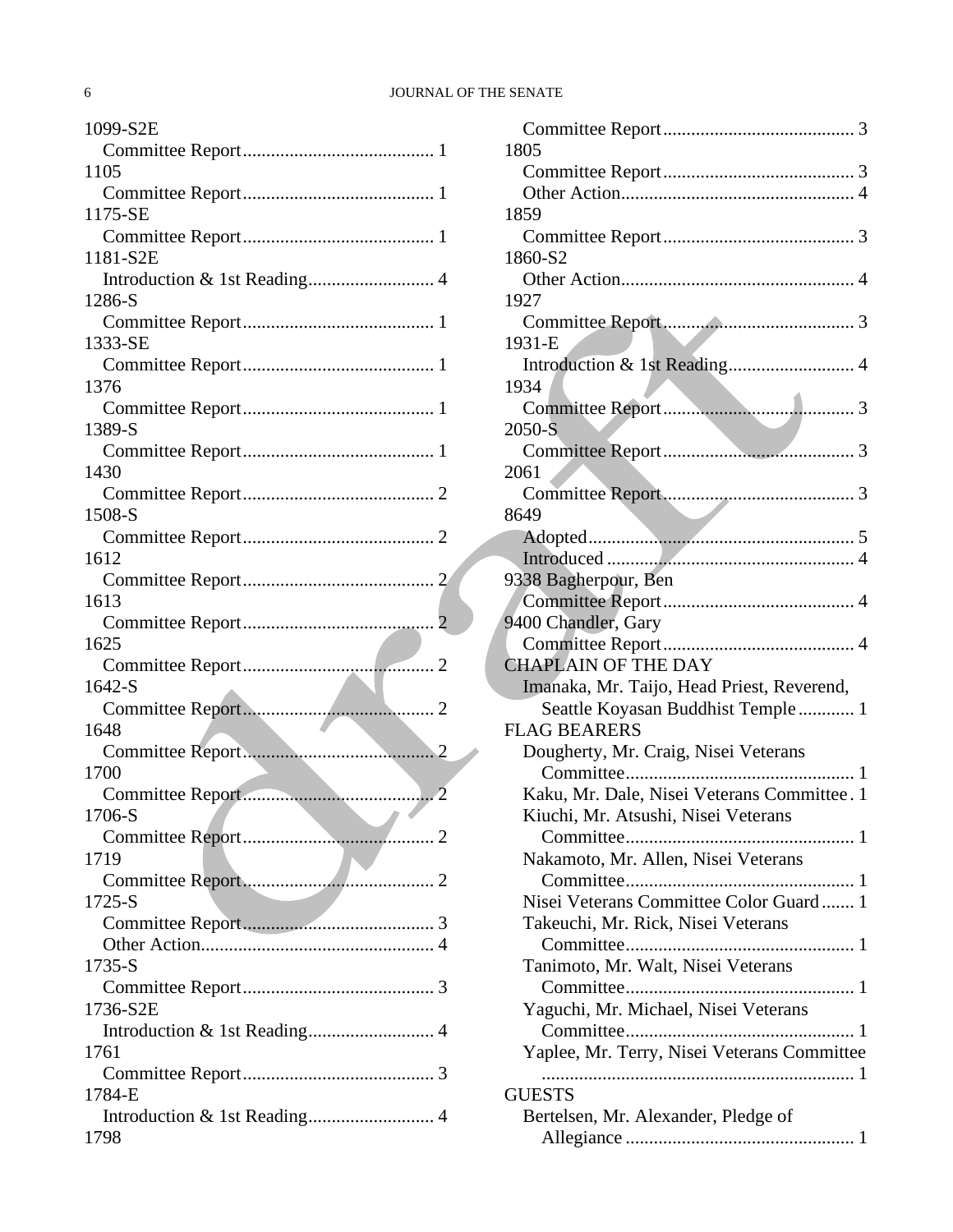## 6 JOURNAL OF THE SENATE

| 1099-S2E                               |
|----------------------------------------|
|                                        |
| 1105                                   |
|                                        |
| 1175-SE                                |
| 1181-S2E                               |
| Introduction & 1st Reading 4           |
| 1286-S                                 |
|                                        |
| 1333-SE                                |
|                                        |
| 1376                                   |
|                                        |
| 1389-S                                 |
|                                        |
| 1430                                   |
|                                        |
| 1508-S                                 |
| 1612                                   |
|                                        |
| 1613                                   |
|                                        |
| 1625                                   |
|                                        |
| 1642-S                                 |
|                                        |
| 1648                                   |
|                                        |
| 1700                                   |
| Committee Report                       |
| 1706-S                                 |
| <b>TAG</b><br>1719                     |
|                                        |
| $1725-S$                               |
|                                        |
|                                        |
| 1735-S                                 |
|                                        |
| 1736-S2E                               |
|                                        |
| 1761                                   |
|                                        |
| 1784-E<br>Introduction & 1st Reading 4 |
| 1798                                   |
|                                        |

| 1805                                        |  |
|---------------------------------------------|--|
|                                             |  |
|                                             |  |
| 1859                                        |  |
|                                             |  |
| 1860-S2                                     |  |
|                                             |  |
| 1927                                        |  |
|                                             |  |
| 1931-E                                      |  |
| Introduction & 1st Reading 4                |  |
| 1934                                        |  |
|                                             |  |
| 2050-S                                      |  |
|                                             |  |
| 2061                                        |  |
|                                             |  |
| 8649                                        |  |
|                                             |  |
|                                             |  |
| 9338 Bagherpour, Ben                        |  |
|                                             |  |
| 9400 Chandler, Gary                         |  |
|                                             |  |
| <b>CHAPLAIN OF THE DAY</b>                  |  |
| Imanaka, Mr. Taijo, Head Priest, Reverend,  |  |
| Seattle Koyasan Buddhist Temple 1           |  |
| <b>FLAG BEARERS</b>                         |  |
| Dougherty, Mr. Craig, Nisei Veterans        |  |
|                                             |  |
| Kaku, Mr. Dale, Nisei Veterans Committee. 1 |  |
| Kiuchi, Mr. Atsushi, Nisei Veterans         |  |
|                                             |  |
| Nakamoto, Mr. Allen, Nisei Veterans         |  |
|                                             |  |
| Nisei Veterans Committee Color Guard 1      |  |
| Takeuchi, Mr. Rick, Nisei Veterans          |  |
|                                             |  |
| Tanimoto, Mr. Walt, Nisei Veterans          |  |
|                                             |  |
| Yaguchi, Mr. Michael, Nisei Veterans        |  |
|                                             |  |
| Yaplee, Mr. Terry, Nisei Veterans Committee |  |
|                                             |  |
| <b>GUESTS</b>                               |  |
| Bertelsen, Mr. Alexander, Pledge of         |  |
|                                             |  |